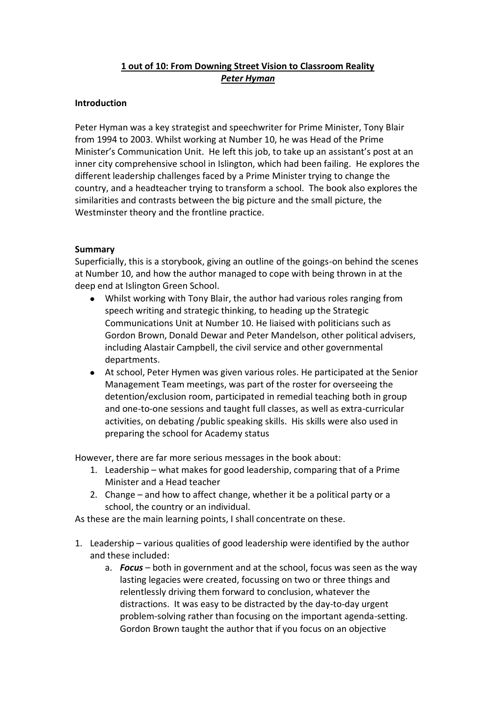## **1 out of 10: From Downing Street Vision to Classroom Reality** *Peter Hyman*

## **Introduction**

Peter Hyman was a key strategist and speechwriter for Prime Minister, Tony Blair from 1994 to 2003. Whilst working at Number 10, he was Head of the Prime Minister's Communication Unit. He left this job, to take up an assistant's post at an inner city comprehensive school in Islington, which had been failing. He explores the different leadership challenges faced by a Prime Minister trying to change the country, and a headteacher trying to transform a school. The book also explores the similarities and contrasts between the big picture and the small picture, the Westminster theory and the frontline practice.

## **Summary**

Superficially, this is a storybook, giving an outline of the goings-on behind the scenes at Number 10, and how the author managed to cope with being thrown in at the deep end at Islington Green School.

- Whilst working with Tony Blair, the author had various roles ranging from speech writing and strategic thinking, to heading up the Strategic Communications Unit at Number 10. He liaised with politicians such as Gordon Brown, Donald Dewar and Peter Mandelson, other political advisers, including Alastair Campbell, the civil service and other governmental departments.
- At school, Peter Hymen was given various roles. He participated at the Senior Management Team meetings, was part of the roster for overseeing the detention/exclusion room, participated in remedial teaching both in group and one-to-one sessions and taught full classes, as well as extra-curricular activities, on debating /public speaking skills. His skills were also used in preparing the school for Academy status

However, there are far more serious messages in the book about:

- 1. Leadership what makes for good leadership, comparing that of a Prime Minister and a Head teacher
- 2. Change and how to affect change, whether it be a political party or a school, the country or an individual.

As these are the main learning points, I shall concentrate on these.

- 1. Leadership various qualities of good leadership were identified by the author and these included:
	- a. *Focus* both in government and at the school, focus was seen as the way lasting legacies were created, focussing on two or three things and relentlessly driving them forward to conclusion, whatever the distractions. It was easy to be distracted by the day-to-day urgent problem-solving rather than focusing on the important agenda-setting. Gordon Brown taught the author that if you focus on an objective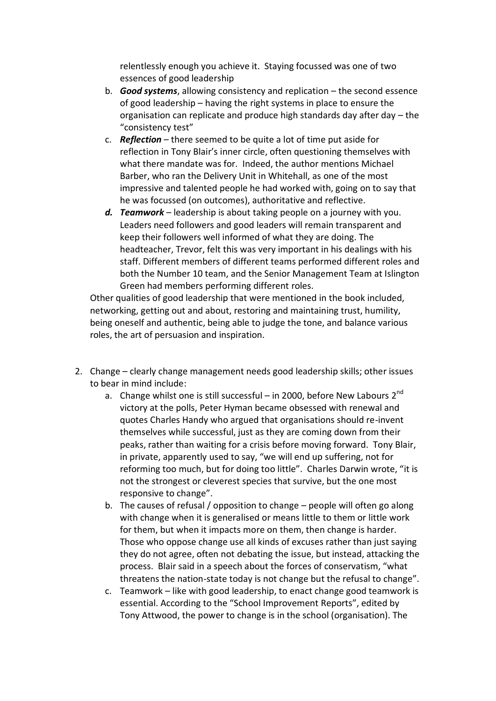relentlessly enough you achieve it. Staying focussed was one of two essences of good leadership

- b. *Good systems*, allowing consistency and replication the second essence of good leadership – having the right systems in place to ensure the organisation can replicate and produce high standards day after day – the "consistency test"
- c. *Reflection*  there seemed to be quite a lot of time put aside for reflection in Tony Blair's inner circle, often questioning themselves with what there mandate was for. Indeed, the author mentions Michael Barber, who ran the Delivery Unit in Whitehall, as one of the most impressive and talented people he had worked with, going on to say that he was focussed (on outcomes), authoritative and reflective.
- *d. Teamwork* leadership is about taking people on a journey with you. Leaders need followers and good leaders will remain transparent and keep their followers well informed of what they are doing. The headteacher, Trevor, felt this was very important in his dealings with his staff. Different members of different teams performed different roles and both the Number 10 team, and the Senior Management Team at Islington Green had members performing different roles.

Other qualities of good leadership that were mentioned in the book included, networking, getting out and about, restoring and maintaining trust, humility, being oneself and authentic, being able to judge the tone, and balance various roles, the art of persuasion and inspiration.

- 2. Change clearly change management needs good leadership skills; other issues to bear in mind include:
	- a. Change whilst one is still successful in 2000, before New Labours  $2^{nd}$ victory at the polls, Peter Hyman became obsessed with renewal and quotes Charles Handy who argued that organisations should re-invent themselves while successful, just as they are coming down from their peaks, rather than waiting for a crisis before moving forward. Tony Blair, in private, apparently used to say, "we will end up suffering, not for reforming too much, but for doing too little". Charles Darwin wrote, "it is not the strongest or cleverest species that survive, but the one most responsive to change".
	- b. The causes of refusal / opposition to change people will often go along with change when it is generalised or means little to them or little work for them, but when it impacts more on them, then change is harder. Those who oppose change use all kinds of excuses rather than just saying they do not agree, often not debating the issue, but instead, attacking the process. Blair said in a speech about the forces of conservatism, "what threatens the nation-state today is not change but the refusal to change".
	- c. Teamwork like with good leadership, to enact change good teamwork is essential. According to the "School Improvement Reports", edited by Tony Attwood, the power to change is in the school (organisation). The